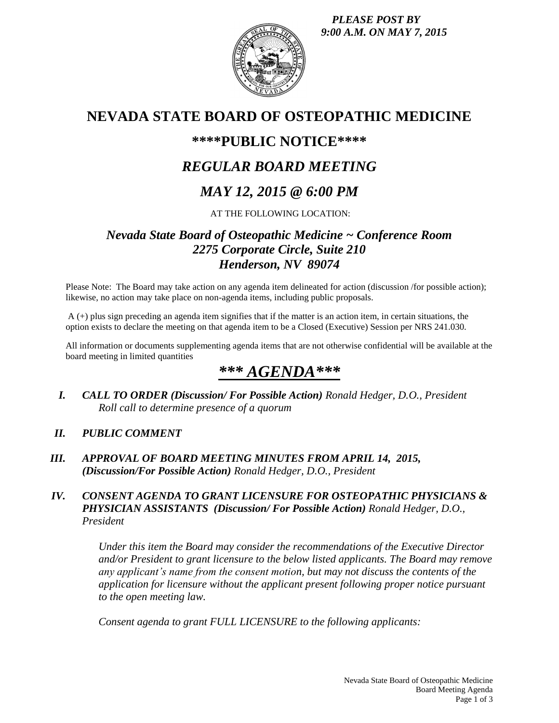*PLEASE POST BY 9:00 A.M. ON MAY 7, 2015*



# **NEVADA STATE BOARD OF OSTEOPATHIC MEDICINE**

## **\*\*\*\*PUBLIC NOTICE\*\*\*\***

## *REGULAR BOARD MEETING*

# *MAY 12, 2015 @ 6:00 PM*

#### AT THE FOLLOWING LOCATION:

## *Nevada State Board of Osteopathic Medicine ~ Conference Room 2275 Corporate Circle, Suite 210 Henderson, NV 89074*

Please Note: The Board may take action on any agenda item delineated for action (discussion /for possible action); likewise, no action may take place on non-agenda items, including public proposals.

A (+) plus sign preceding an agenda item signifies that if the matter is an action item, in certain situations, the option exists to declare the meeting on that agenda item to be a Closed (Executive) Session per NRS 241.030.

All information or documents supplementing agenda items that are not otherwise confidential will be available at the board meeting in limited quantities

# *\*\*\* AGENDA\*\*\**

*I. CALL TO ORDER (Discussion/ For Possible Action) Ronald Hedger, D.O., President Roll call to determine presence of a quorum*

#### *II. PUBLIC COMMENT*

*III. APPROVAL OF BOARD MEETING MINUTES FROM APRIL 14, 2015, (Discussion/For Possible Action) Ronald Hedger, D.O., President*

#### *IV. CONSENT AGENDA TO GRANT LICENSURE FOR OSTEOPATHIC PHYSICIANS & PHYSICIAN ASSISTANTS (Discussion/ For Possible Action) Ronald Hedger, D.O., President*

*Under this item the Board may consider the recommendations of the Executive Director and/or President to grant licensure to the below listed applicants. The Board may remove any applicant's name from the consent motion, but may not discuss the contents of the application for licensure without the applicant present following proper notice pursuant to the open meeting law.* 

*Consent agenda to grant FULL LICENSURE to the following applicants:*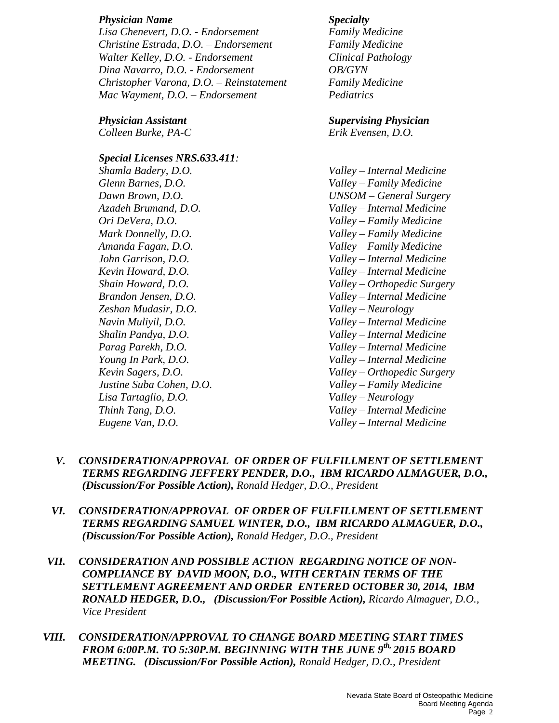#### *Physician Name Specialty*

*Lisa Chenevert, D.O. - Endorsement Family Medicine Christine Estrada, D.O. – Endorsement Family Medicine Walter Kelley, D.O. - Endorsement Clinical Pathology Dina Navarro, D.O. - Endorsement OB/GYN Christopher Varona, D.O. – Reinstatement Family Medicine Mac Wayment, D.O. – Endorsement Pediatrics*

*Colleen Burke, PA-C Erik Evensen, D.O.*

*Special Licenses NRS.633.411: Shamla Badery, D.O. Valley – Internal Medicine Glenn Barnes, D.O. Valley – Family Medicine Azadeh Brumand, D.O. Valley – Internal Medicine Ori DeVera, D.O. Valley – Family Medicine Mark Donnelly, D.O. Valley – Family Medicine Amanda Fagan, D.O. Valley – Family Medicine John Garrison, D.O. Valley – Internal Medicine Kevin Howard, D.O. Valley – Internal Medicine Brandon Jensen, D.O. Valley – Internal Medicine Zeshan Mudasir, D.O. Valley – Neurology Navin Muliyil, D.O. Valley – Internal Medicine Shalin Pandya, D.O. Valley – Internal Medicine Parag Parekh, D.O. Valley – Internal Medicine Young In Park, D.O. Valley – Internal Medicine Justine Suba Cohen, D.O. Valley – Family Medicine Lisa Tartaglio, D.O. Valley – Neurology Thinh Tang, D.O. Valley – Internal Medicine*

## *Physician Assistant Supervising Physician*

*Dawn Brown, D.O. UNSOM – General Surgery Shain Howard, D.O. Valley – Orthopedic Surgery Kevin Sagers, D.O. Valley – Orthopedic Surgery Eugene Van, D.O. Valley – Internal Medicine*

- *V. CONSIDERATION/APPROVAL OF ORDER OF FULFILLMENT OF SETTLEMENT TERMS REGARDING JEFFERY PENDER, D.O., IBM RICARDO ALMAGUER, D.O., (Discussion/For Possible Action), Ronald Hedger, D.O., President*
- *VI. CONSIDERATION/APPROVAL OF ORDER OF FULFILLMENT OF SETTLEMENT TERMS REGARDING SAMUEL WINTER, D.O., IBM RICARDO ALMAGUER, D.O., (Discussion/For Possible Action), Ronald Hedger, D.O., President*
- *VII. CONSIDERATION AND POSSIBLE ACTION REGARDING NOTICE OF NON-COMPLIANCE BY DAVID MOON, D.O., WITH CERTAIN TERMS OF THE SETTLEMENT AGREEMENT AND ORDER ENTERED OCTOBER 30, 2014, IBM RONALD HEDGER, D.O., (Discussion/For Possible Action), Ricardo Almaguer, D.O., Vice President*
- *VIII. CONSIDERATION/APPROVAL TO CHANGE BOARD MEETING START TIMES FROM 6:00P.M. TO 5:30P.M. BEGINNING WITH THE JUNE 9th, 2015 BOARD MEETING. (Discussion/For Possible Action), Ronald Hedger, D.O., President*